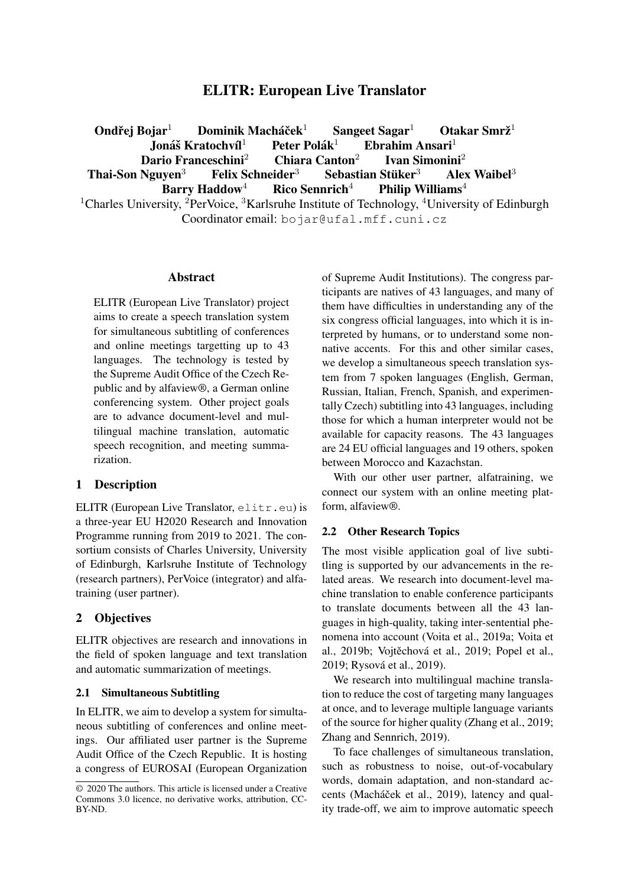# ELITR: European Live Translator

Ondřej Bojar $<sup>1</sup>$ </sup> Dominik Macháček $^1$  $S$ angeet Sagar $<sup>1</sup>$ </sup> Otakar Smrž $1$ Jona´s Kratochv ˇ ´ıl<sup>1</sup> Peter Polak´  $E$ brahim Ansari $<sup>1</sup>$ </sup> Dario Franceschini $^2$ Ivan Simonini<sup>2</sup> Thai-Son Nguyen<sup>3</sup> Felix Schneider<sup>3</sup> Sebastian Stüker<sup>3</sup> Alex Waibel $3$ Barry Haddow<sup>4</sup> Rico Sennrich<sup>4</sup> Philip Williams<sup>4</sup>

<sup>1</sup>Charles University, <sup>2</sup>PerVoice, <sup>3</sup>Karlsruhe Institute of Technology, <sup>4</sup>University of Edinburgh Coordinator email: bojar@ufal.mff.cuni.cz

#### Abstract

ELITR (European Live Translator) project aims to create a speech translation system for simultaneous subtitling of conferences and online meetings targetting up to 43 languages. The technology is tested by the Supreme Audit Office of the Czech Republic and by alfaview®, a German online conferencing system. Other project goals are to advance document-level and multilingual machine translation, automatic speech recognition, and meeting summarization.

## 1 Description

ELITR (European Live Translator, elitr.eu) is a three-year EU H2020 Research and Innovation Programme running from 2019 to 2021. The consortium consists of Charles University, University of Edinburgh, Karlsruhe Institute of Technology (research partners), PerVoice (integrator) and alfatraining (user partner).

## 2 Objectives

ELITR objectives are research and innovations in the field of spoken language and text translation and automatic summarization of meetings.

#### 2.1 Simultaneous Subtitling

In ELITR, we aim to develop a system for simultaneous subtitling of conferences and online meetings. Our affiliated user partner is the Supreme Audit Office of the Czech Republic. It is hosting a congress of EUROSAI (European Organization of Supreme Audit Institutions). The congress participants are natives of 43 languages, and many of them have difficulties in understanding any of the six congress official languages, into which it is interpreted by humans, or to understand some nonnative accents. For this and other similar cases, we develop a simultaneous speech translation system from 7 spoken languages (English, German, Russian, Italian, French, Spanish, and experimentally Czech) subtitling into 43 languages, including those for which a human interpreter would not be available for capacity reasons. The 43 languages are 24 EU official languages and 19 others, spoken between Morocco and Kazachstan.

With our other user partner, alfatraining, we connect our system with an online meeting platform, alfaview®.

#### 2.2 Other Research Topics

The most visible application goal of live subtitling is supported by our advancements in the related areas. We research into document-level machine translation to enable conference participants to translate documents between all the 43 languages in high-quality, taking inter-sentential phenomena into account (Voita et al., 2019a; Voita et al., 2019b; Vojtěchová et al., 2019; Popel et al., 2019; Rysová et al., 2019).

We research into multilingual machine translation to reduce the cost of targeting many languages at once, and to leverage multiple language variants of the source for higher quality (Zhang et al., 2019; Zhang and Sennrich, 2019).

To face challenges of simultaneous translation, such as robustness to noise, out-of-vocabulary words, domain adaptation, and non-standard accents (Macháček et al., 2019), latency and quality trade-off, we aim to improve automatic speech

<sup>© 2020</sup> The authors. This article is licensed under a Creative Commons 3.0 licence, no derivative works, attribution, CC-BY-ND.